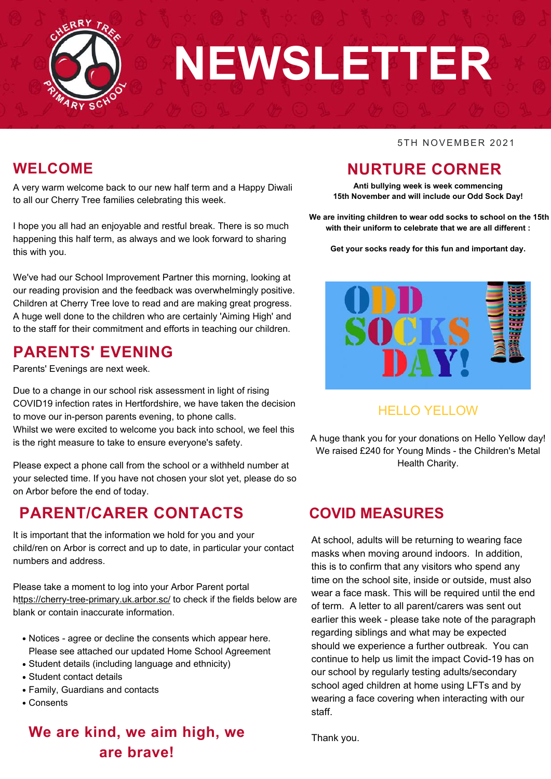

# **NEWSLETTER**

#### 5TH NOVEMBER 2021

## **WELCOME**

A very warm welcome back to our new half term and a Happy Diwali to all our Cherry Tree families celebrating this week.

I hope you all had an enjoyable and restful break. There is so much happening this half term, as always and we look forward to sharing this with you.

We've had our School Improvement Partner this morning, looking at our reading provision and the feedback was overwhelmingly positive. Children at Cherry Tree love to read and are making great progress. A huge well done to the children who are certainly 'Aiming High' and to the staff for their commitment and efforts in teaching our children.

# **PARENTS' EVENING**

Parents' Evenings are next week.

Due to a change in our school risk assessment in light of rising COVID19 infection rates in Hertfordshire, we have taken the decision to move our in-person parents evening, to phone calls. Whilst we were excited to welcome you back into school, we feel this is the right measure to take to ensure everyone's safety.

Please expect a phone call from the school or a withheld number at your selected time. If you have not chosen your slot yet, please do so on Arbor before the end of today.

## **PARENT/CARER CONTACTS**

It is important that the information we hold for you and your child/ren on Arbor is correct and up to date, in particular your contact numbers and address.

Please take a moment to log into your Arbor Parent portal <https://cherry-tree-primary.uk.arbor.sc/> to check if the fields below are blank or contain inaccurate information.

- Notices agree or decline the consents which appear here. Please see attached our updated Home School Agreement
- Student details (including language and ethnicity)
- Student contact details
- Family, Guardians and contacts
- Consents

## **We are kind, we aim high, we are brave!**

# **NURTURE CORNER**

**Anti bullying week is week commencing 15th November and will include our Odd Sock Day!**

**We are inviting children to wear odd socks to school on the 15th with their uniform to celebrate that we are all different :**

**Get your socks ready for this fun and important day.**



## HELLO YELLOW

A huge thank you for your donations on Hello Yellow day! We raised £240 for Young Minds - the Children's Metal Health Charity.

## **COVID MEASURES**

At school, adults will be returning to wearing face masks when moving around indoors. In addition, this is to confirm that any visitors who spend any time on the school site, inside or outside, must also wear a face mask. This will be required until the end of term. A letter to all parent/carers was sent out earlier this week - please take note of the paragraph regarding siblings and what may be expected should we experience a further outbreak. You can continue to help us limit the impact Covid-19 has on our school by regularly testing adults/secondary school aged children at home using LFTs and by wearing a face covering when interacting with our staff.

Thank you.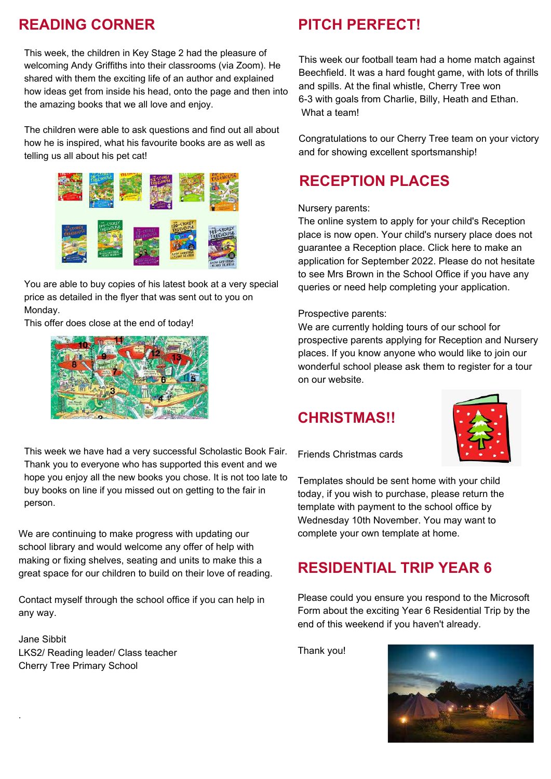## **READING CORNER**

This week, the children in Key Stage 2 had the pleasure of welcoming Andy Griffiths into their classrooms (via Zoom). He shared with them the exciting life of an author and explained how ideas get from inside his head, onto the page and then into the amazing books that we all love and enjoy.

The children were able to ask questions and find out all about how he is inspired, what his favourite books are as well as telling us all about his pet cat!



You are able to buy copies of his latest book at a very special price as detailed in the flyer that was sent out to you on Monday.

This offer does close at the end of today!



This week we have had a very successful Scholastic Book Fair. Thank you to everyone who has supported this event and we hope you enjoy all the new books you chose. It is not too late to buy books on line if you missed out on getting to the fair in person.

We are continuing to make progress with updating our school library and would welcome any offer of help with making or fixing shelves, seating and units to make this a great space for our children to build on their love of reading.

Contact myself through the school office if you can help in any way.

Jane Sibbit LKS2/ Reading leader/ Class teacher Cherry Tree Primary School

.

## **PITCH PERFECT!**

This week our football team had a home match against Beechfield. It was a hard fought game, with lots of thrills and spills. At the final whistle, Cherry Tree won 6-3 with goals from Charlie, Billy, Heath and Ethan. What a team!

Congratulations to our Cherry Tree team on your victory and for showing excellent sportsmanship!

# **RECEPTION PLACES**

#### Nursery parents:

The online system to apply for your child's Reception place is now open. Your child's nursery place does not guarantee a Reception place. Click [here](https://www.hertfordshire.gov.uk/services/schools-and-education/school-admissions/primary-junior-and-middle-schools/primary-junior-and-middle-school-places.aspx) to make an application for September 2022. Please do not hesitate to see Mrs Brown in the School Office if you have any queries or need help completing your application.

#### Prospective parents:

We are currently holding tours of our school for prospective parents applying for Reception and Nursery places. If you know anyone who would like to join our wonderful school please ask them to register for a tour on our website.

## **CHRISTMAS!!**



Friends Christmas cards

Templates should be sent home with your child today, if you wish to purchase, please return the template with payment to the school office by Wednesday 10th November. You may want to complete your own template at home.

## **RESIDENTIAL TRIP YEAR 6**

Please could you ensure you respond to the Microsoft Form about the exciting Year 6 Residential Trip by the end of this weekend if you haven't already.

Thank you!

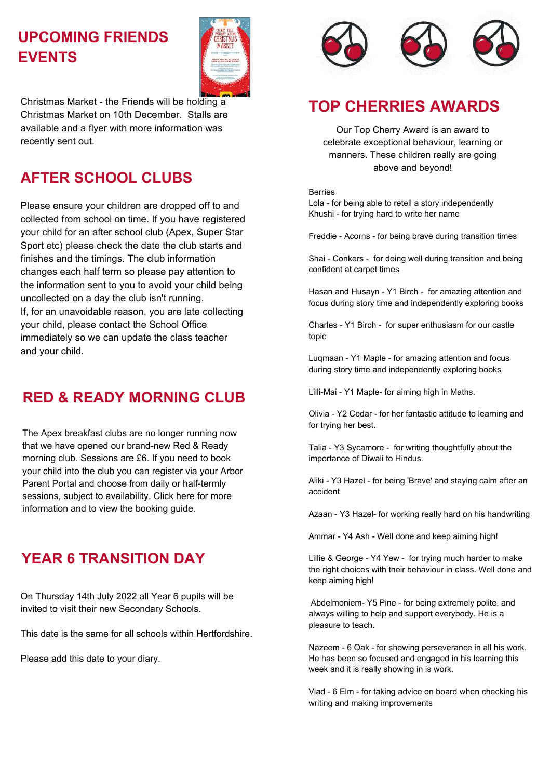# **UPCOMING FRIENDS EVENTS**



Christmas Market - the Friends will be holding a Christmas Market on 10th December. Stalls are available and a flyer with more information was recently sent out.

## **AFTER SCHOOL CLUBS**

Please ensure your children are dropped off to and collected from school on time. If you have registered your child for an after school club (Apex, Super Star Sport etc) please check the date the club starts and finishes and the timings. The club information changes each half term so please pay attention to the information sent to you to avoid your child being uncollected on a day the club isn't running. If, for an unavoidable reason, you are late collecting your child, please contact the School Office immediately so we can update the class teacher and your child.

## **RED & READY MORNING CLUB**

The Apex breakfast clubs are no longer running now that we have opened our brand-new Red & Ready morning club. Sessions are £6. If you need to book your child into the club you can register via your Arbor Parent Portal and choose from daily or half-termly sessions, subject to availability. Click [here](https://www.cherrytree.herts.sch.uk/clubs) for more information and to view the booking guide.

# **YEAR 6 TRANSITION DAY**

On Thursday 14th July 2022 all Year 6 pupils will be invited to visit their new Secondary Schools.

This date is the same for all schools within Hertfordshire.

Please add this date to your diary.



# **TOP CHERRIES AWARDS**

Our Top Cherry Award is an award to celebrate exceptional behaviour, learning or manners. These children really are going above and beyond!

#### Berries

Lola - for being able to retell a story independently Khushi - for trying hard to write her name

Freddie - Acorns - for being brave during transition times

Shai - Conkers - for doing well during transition and being confident at carpet times

Hasan and Husayn - Y1 Birch - for amazing attention and focus during story time and independently exploring books

Charles - Y1 Birch - for super enthusiasm for our castle topic

Luqmaan - Y1 Maple - for amazing attention and focus during story time and independently exploring books

Lilli-Mai - Y1 Maple- for aiming high in Maths.

Olivia - Y2 Cedar - for her fantastic attitude to learning and for trying her best.

Talia - Y3 Sycamore - for writing thoughtfully about the importance of Diwali to Hindus.

Aliki - Y3 Hazel - for being 'Brave' and staying calm after an accident

Azaan - Y3 Hazel- for working really hard on his handwriting

Ammar - Y4 Ash - Well done and keep aiming high!

Lillie & George - Y4 Yew - for trying much harder to make the right choices with their behaviour in class. Well done and keep aiming high!

Abdelmoniem- Y5 Pine - for being extremely polite, and always willing to help and support everybody. He is a pleasure to teach.

Nazeem - 6 Oak - for showing perseverance in all his work. He has been so focused and engaged in his learning this week and it is really showing in is work.

Vlad - 6 Elm - for taking advice on board when checking his writing and making improvements